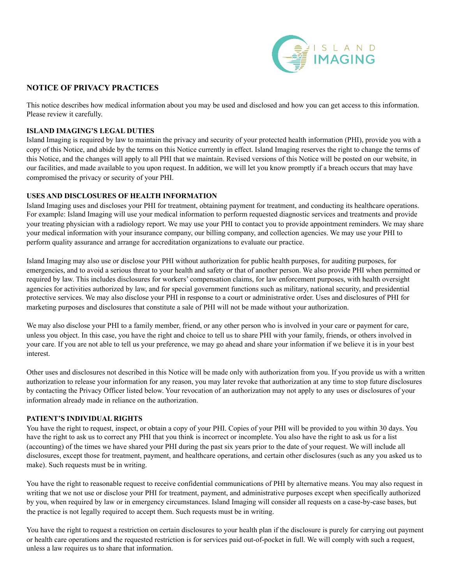

# **NOTICE OF PRIVACY PRACTICES**

This notice describes how medical information about you may be used and disclosed and how you can get access to this information. Please review it carefully.

### **ISLAND IMAGING'S LEGAL DUTIES**

Island Imaging is required by law to maintain the privacy and security of your protected health information (PHI), provide you with a copy of this Notice, and abide by the terms on this Notice currently in effect. Island Imaging reserves the right to change the terms of this Notice, and the changes will apply to all PHI that we maintain. Revised versions of this Notice will be posted on our website, in our facilities, and made available to you upon request. In addition, we will let you know promptly if a breach occurs that may have compromised the privacy or security of your PHI.

## **USES AND DISCLOSURES OF HEALTH INFORMATION**

Island Imaging uses and discloses your PHI for treatment, obtaining payment for treatment, and conducting its healthcare operations. For example: Island Imaging will use your medical information to perform requested diagnostic services and treatments and provide your treating physician with a radiology report. We may use your PHI to contact you to provide appointment reminders. We may share your medical information with your insurance company, our billing company, and collection agencies. We may use your PHI to perform quality assurance and arrange for accreditation organizations to evaluate our practice.

Island Imaging may also use or disclose your PHI without authorization for public health purposes, for auditing purposes, for emergencies, and to avoid a serious threat to your health and safety or that of another person. We also provide PHI when permitted or required by law. This includes disclosures for workers' compensation claims, for law enforcement purposes, with health oversight agencies for activities authorized by law, and for special government functions such as military, national security, and presidential protective services. We may also disclose your PHI in response to a court or administrative order. Uses and disclosures of PHI for marketing purposes and disclosures that constitute a sale of PHI will not be made without your authorization.

We may also disclose your PHI to a family member, friend, or any other person who is involved in your care or payment for care, unless you object. In this case, you have the right and choice to tell us to share PHI with your family, friends, or others involved in your care. If you are not able to tell us your preference, we may go ahead and share your information if we believe it is in your best interest.

Other uses and disclosures not described in this Notice will be made only with authorization from you. If you provide us with a written authorization to release your information for any reason, you may later revoke that authorization at any time to stop future disclosures by contacting the Privacy Officer listed below. Your revocation of an authorization may not apply to any uses or disclosures of your information already made in reliance on the authorization.

#### **PATIENT'S INDIVIDUAL RIGHTS**

You have the right to request, inspect, or obtain a copy of your PHI. Copies of your PHI will be provided to you within 30 days. You have the right to ask us to correct any PHI that you think is incorrect or incomplete. You also have the right to ask us for a list (accounting) of the times we have shared your PHI during the past six years prior to the date of your request. We will include all disclosures, except those for treatment, payment, and healthcare operations, and certain other disclosures (such as any you asked us to make). Such requests must be in writing.

You have the right to reasonable request to receive confidential communications of PHI by alternative means. You may also request in writing that we not use or disclose your PHI for treatment, payment, and administrative purposes except when specifically authorized by you, when required by law or in emergency circumstances. Island Imaging will consider all requests on a case-by-case bases, but the practice is not legally required to accept them. Such requests must be in writing.

You have the right to request a restriction on certain disclosures to your health plan if the disclosure is purely for carrying out payment or health care operations and the requested restriction is for services paid out-of-pocket in full. We will comply with such a request, unless a law requires us to share that information.